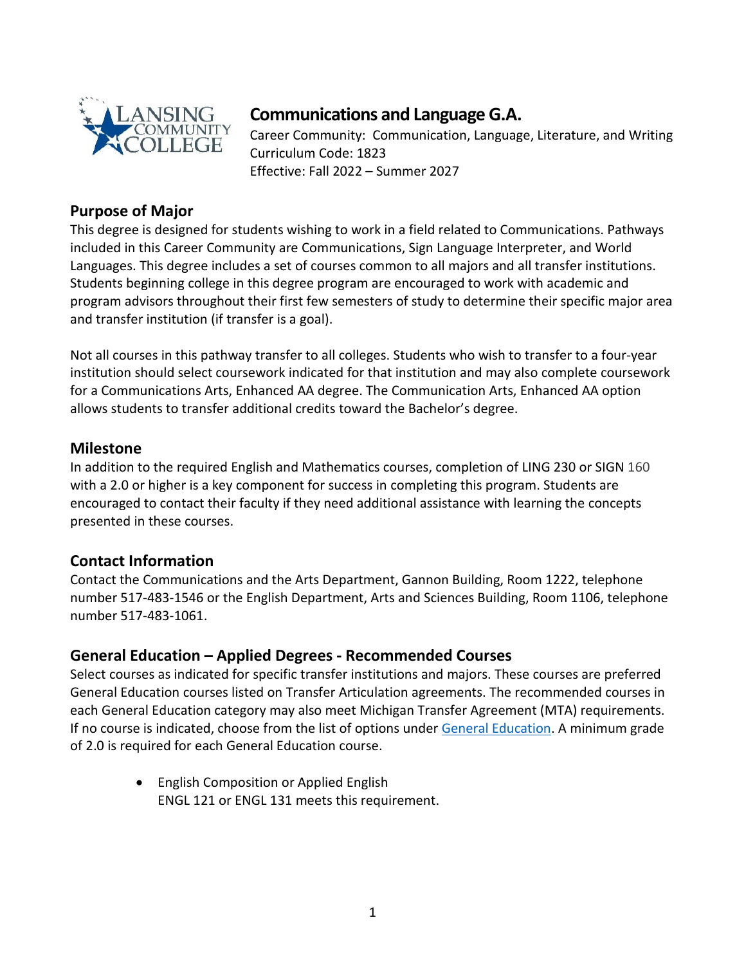

# **Communications and Language G.A.**

Career Community: Communication, Language, Literature, and Writing Curriculum Code: 1823 Effective: Fall 2022 – Summer 2027

## **Purpose of Major**

This degree is designed for students wishing to work in a field related to Communications. Pathways included in this Career Community are Communications, Sign Language Interpreter, and World Languages. This degree includes a set of courses common to all majors and all transfer institutions. Students beginning college in this degree program are encouraged to work with academic and program advisors throughout their first few semesters of study to determine their specific major area and transfer institution (if transfer is a goal).

Not all courses in this pathway transfer to all colleges. Students who wish to transfer to a four-year institution should select coursework indicated for that institution and may also complete coursework for a Communications Arts, Enhanced AA degree. The Communication Arts, Enhanced AA option allows students to transfer additional credits toward the Bachelor's degree.

## **Milestone**

In addition to the required English and Mathematics courses, completion of LING 230 or SIGN 160 with a 2.0 or higher is a key component for success in completing this program. Students are encouraged to contact their faculty if they need additional assistance with learning the concepts presented in these courses.

## **Contact Information**

Contact the Communications and the Arts Department, Gannon Building, Room 1222, telephone number 517-483-1546 or the English Department, Arts and Sciences Building, Room 1106, telephone number 517-483-1061.

## **General Education – Applied Degrees - Recommended Courses**

Select courses as indicated for specific transfer institutions and majors. These courses are preferred General Education courses listed on Transfer Articulation agreements. The recommended courses in each General Education category may also meet Michigan Transfer Agreement (MTA) requirements. If no course is indicated, choose from the list of options under [General Education.](https://www.lcc.edu/academics/catalog/general-education/) A minimum grade of 2.0 is required for each General Education course.

> • English Composition or Applied English ENGL 121 or ENGL 131 meets this requirement.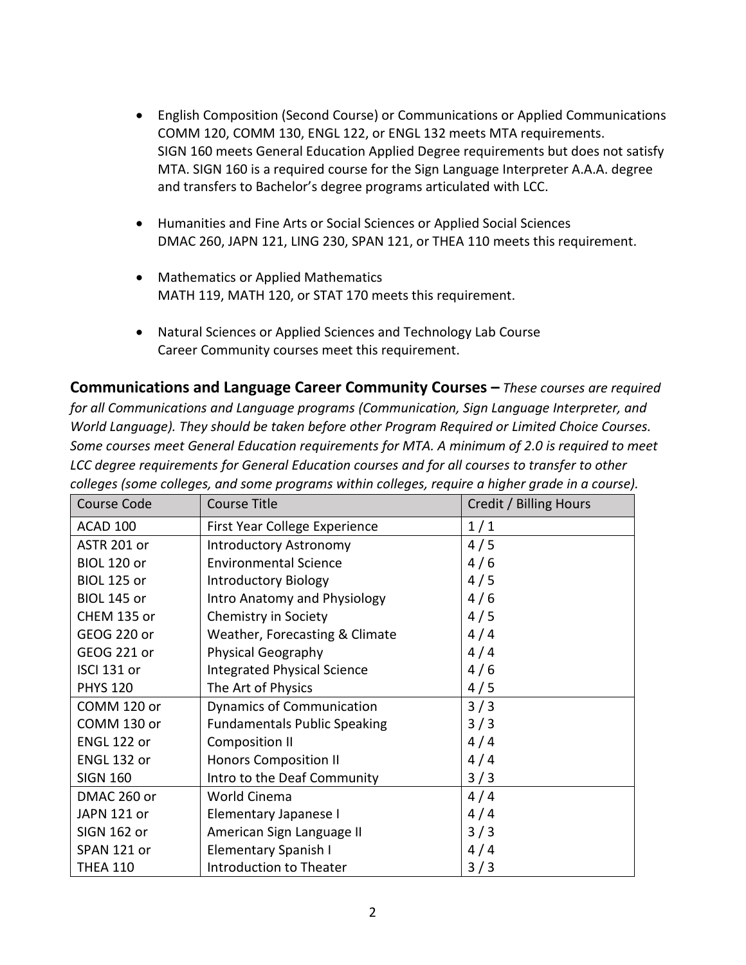- English Composition (Second Course) or Communications or Applied Communications COMM 120, COMM 130, ENGL 122, or ENGL 132 meets MTA requirements. SIGN 160 meets General Education Applied Degree requirements but does not satisfy MTA. SIGN 160 is a required course for the Sign Language Interpreter A.A.A. degree and transfers to Bachelor's degree programs articulated with LCC.
- Humanities and Fine Arts or Social Sciences or Applied Social Sciences DMAC 260, JAPN 121, LING 230, SPAN 121, or THEA 110 meets this requirement.
- Mathematics or Applied Mathematics MATH 119, MATH 120, or STAT 170 meets this requirement.
- Natural Sciences or Applied Sciences and Technology Lab Course Career Community courses meet this requirement.

**Communications and Language Career Community Courses –** *These courses are required for all Communications and Language programs (Communication, Sign Language Interpreter, and World Language). They should be taken before other Program Required or Limited Choice Courses. Some courses meet General Education requirements for MTA. A minimum of 2.0 is required to meet LCC degree requirements for General Education courses and for all courses to transfer to other colleges (some colleges, and some programs within colleges, require a higher grade in a course).* 

| <b>Course Code</b> | <b>Course Title</b>                 | Credit / Billing Hours |
|--------------------|-------------------------------------|------------------------|
| ACAD 100           | First Year College Experience       | 1/1                    |
| ASTR 201 or        | <b>Introductory Astronomy</b>       | 4/5                    |
| <b>BIOL 120 or</b> | <b>Environmental Science</b>        | 4/6                    |
| <b>BIOL 125 or</b> | <b>Introductory Biology</b>         | 4/5                    |
| <b>BIOL 145 or</b> | <b>Intro Anatomy and Physiology</b> | 4/6                    |
| CHEM 135 or        | Chemistry in Society                | 4/5                    |
| GEOG 220 or        | Weather, Forecasting & Climate      | 4/4                    |
| GEOG 221 or        | <b>Physical Geography</b>           | 4/4                    |
| ISCI 131 or        | <b>Integrated Physical Science</b>  | 4/6                    |
| <b>PHYS 120</b>    | The Art of Physics                  | 4/5                    |
| COMM 120 or        | <b>Dynamics of Communication</b>    | 3/3                    |
| COMM 130 or        | <b>Fundamentals Public Speaking</b> | 3/3                    |
| ENGL 122 or        | Composition II                      | 4/4                    |
| ENGL 132 or        | <b>Honors Composition II</b>        | 4/4                    |
| <b>SIGN 160</b>    | Intro to the Deaf Community         | 3/3                    |
| DMAC 260 or        | World Cinema                        | 4/4                    |
| JAPN 121 or        | Elementary Japanese I               | 4/4                    |
| SIGN 162 or        | American Sign Language II           | 3/3                    |
| SPAN 121 or        | Elementary Spanish I                | 4/4                    |
| <b>THEA 110</b>    | Introduction to Theater             | 3/3                    |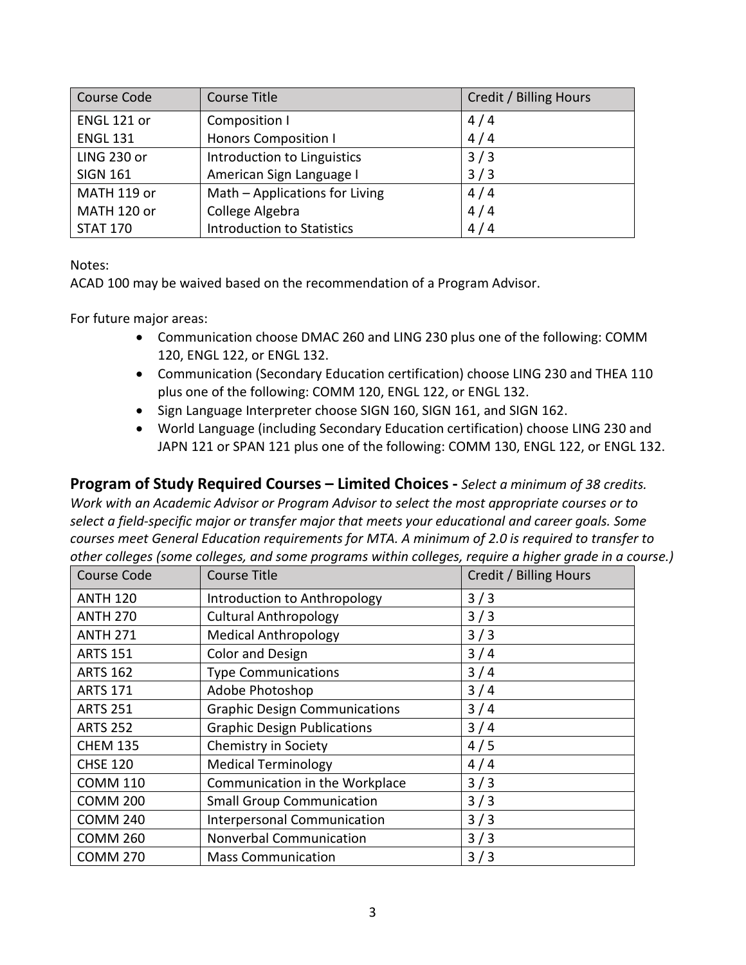| Course Code     | Course Title                      | Credit / Billing Hours |
|-----------------|-----------------------------------|------------------------|
| ENGL 121 or     | Composition I                     | 4/4                    |
| <b>ENGL 131</b> | <b>Honors Composition I</b>       | 4/4                    |
| LING 230 or     | Introduction to Linguistics       | 3/3                    |
| <b>SIGN 161</b> | American Sign Language I          | 3/3                    |
| MATH 119 or     | Math - Applications for Living    | 4/4                    |
| MATH 120 or     | College Algebra                   | 4/4                    |
| <b>STAT 170</b> | <b>Introduction to Statistics</b> | 4/4                    |

Notes:

ACAD 100 may be waived based on the recommendation of a Program Advisor.

For future major areas:

- Communication choose DMAC 260 and LING 230 plus one of the following: COMM 120, ENGL 122, or ENGL 132.
- Communication (Secondary Education certification) choose LING 230 and THEA 110 plus one of the following: COMM 120, ENGL 122, or ENGL 132.
- Sign Language Interpreter choose SIGN 160, SIGN 161, and SIGN 162.
- World Language (including Secondary Education certification) choose LING 230 and JAPN 121 or SPAN 121 plus one of the following: COMM 130, ENGL 122, or ENGL 132.

**Program of Study Required Courses – Limited Choices -** *Select a minimum of 38 credits. Work with an Academic Advisor or Program Advisor to select the most appropriate courses or to select a field-specific major or transfer major that meets your educational and career goals. Some courses meet General Education requirements for MTA. A minimum of 2.0 is required to transfer to other colleges (some colleges, and some programs within colleges, require a higher grade in a course.)*

| Course Code     | <b>Course Title</b>                  | Credit / Billing Hours |
|-----------------|--------------------------------------|------------------------|
| <b>ANTH 120</b> | Introduction to Anthropology         | 3/3                    |
| <b>ANTH 270</b> | <b>Cultural Anthropology</b>         | 3/3                    |
| <b>ANTH 271</b> | <b>Medical Anthropology</b>          | 3/3                    |
| <b>ARTS 151</b> | <b>Color and Design</b>              | 3/4                    |
| <b>ARTS 162</b> | <b>Type Communications</b>           | 3/4                    |
| <b>ARTS 171</b> | Adobe Photoshop                      | 3/4                    |
| <b>ARTS 251</b> | <b>Graphic Design Communications</b> | 3/4                    |
| <b>ARTS 252</b> | <b>Graphic Design Publications</b>   | 3/4                    |
| <b>CHEM 135</b> | Chemistry in Society                 | 4/5                    |
| <b>CHSE 120</b> | <b>Medical Terminology</b>           | 4/4                    |
| <b>COMM 110</b> | Communication in the Workplace       | 3/3                    |
| <b>COMM 200</b> | <b>Small Group Communication</b>     | 3/3                    |
| <b>COMM 240</b> | <b>Interpersonal Communication</b>   | 3/3                    |
| <b>COMM 260</b> | Nonverbal Communication              | 3/3                    |
| <b>COMM 270</b> | <b>Mass Communication</b>            | 3/3                    |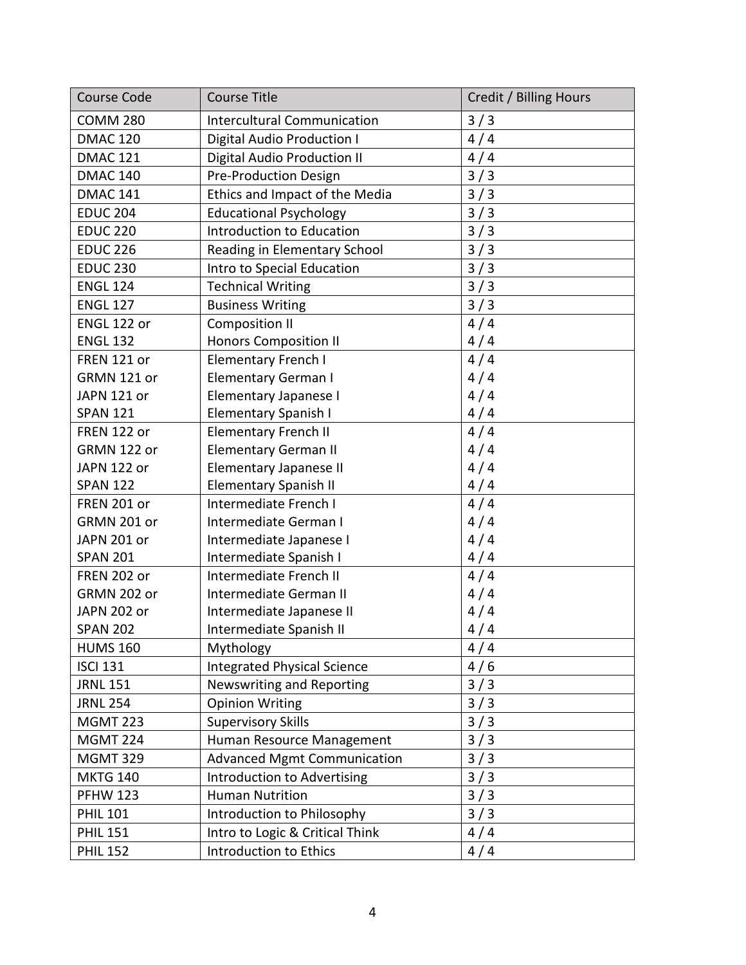| <b>Course Code</b> | <b>Course Title</b>                | Credit / Billing Hours |
|--------------------|------------------------------------|------------------------|
| <b>COMM 280</b>    | <b>Intercultural Communication</b> | 3/3                    |
| <b>DMAC 120</b>    | Digital Audio Production I         | 4/4                    |
| <b>DMAC 121</b>    | Digital Audio Production II        | 4/4                    |
| <b>DMAC 140</b>    | <b>Pre-Production Design</b>       | 3/3                    |
| <b>DMAC 141</b>    | Ethics and Impact of the Media     | 3/3                    |
| <b>EDUC 204</b>    | <b>Educational Psychology</b>      | 3/3                    |
| <b>EDUC 220</b>    | Introduction to Education          | 3/3                    |
| <b>EDUC 226</b>    | Reading in Elementary School       | 3/3                    |
| <b>EDUC 230</b>    | Intro to Special Education         | 3/3                    |
| <b>ENGL 124</b>    | <b>Technical Writing</b>           | 3/3                    |
| <b>ENGL 127</b>    | <b>Business Writing</b>            | 3/3                    |
| ENGL 122 or        | <b>Composition II</b>              | 4/4                    |
| <b>ENGL 132</b>    | <b>Honors Composition II</b>       | 4/4                    |
| FREN 121 or        | <b>Elementary French I</b>         | 4/4                    |
| GRMN 121 or        | <b>Elementary German I</b>         | 4/4                    |
| JAPN 121 or        | Elementary Japanese I              | 4/4                    |
| <b>SPAN 121</b>    | <b>Elementary Spanish I</b>        | 4/4                    |
| FREN 122 or        | <b>Elementary French II</b>        | 4/4                    |
| GRMN 122 or        | <b>Elementary German II</b>        | 4/4                    |
| JAPN 122 or        | Elementary Japanese II             | 4/4                    |
| <b>SPAN 122</b>    | <b>Elementary Spanish II</b>       | 4/4                    |
| <b>FREN 201 or</b> | Intermediate French I              | 4/4                    |
| GRMN 201 or        | Intermediate German I              | 4/4                    |
| JAPN 201 or        | Intermediate Japanese I            | 4/4                    |
| <b>SPAN 201</b>    | Intermediate Spanish I             | 4/4                    |
| <b>FREN 202 or</b> | Intermediate French II             | 4/4                    |
| GRMN 202 or        | Intermediate German II             | 4/4                    |
| JAPN 202 or        | Intermediate Japanese II           | 4/4                    |
| <b>SPAN 202</b>    | Intermediate Spanish II            | 4/4                    |
| <b>HUMS 160</b>    | Mythology                          | 4/4                    |
| <b>ISCI 131</b>    | <b>Integrated Physical Science</b> | 4/6                    |
| <b>JRNL 151</b>    | Newswriting and Reporting          | 3/3                    |
| <b>JRNL 254</b>    | <b>Opinion Writing</b>             | 3/3                    |
| <b>MGMT 223</b>    | <b>Supervisory Skills</b>          | 3/3                    |
| <b>MGMT 224</b>    | Human Resource Management          | 3/3                    |
| <b>MGMT 329</b>    | <b>Advanced Mgmt Communication</b> | 3/3                    |
| <b>MKTG 140</b>    | Introduction to Advertising        | 3/3                    |
| <b>PFHW 123</b>    | <b>Human Nutrition</b>             | 3/3                    |
| <b>PHIL 101</b>    | Introduction to Philosophy         | 3/3                    |
| <b>PHIL 151</b>    | Intro to Logic & Critical Think    | 4/4                    |
| <b>PHIL 152</b>    | Introduction to Ethics             | 4/4                    |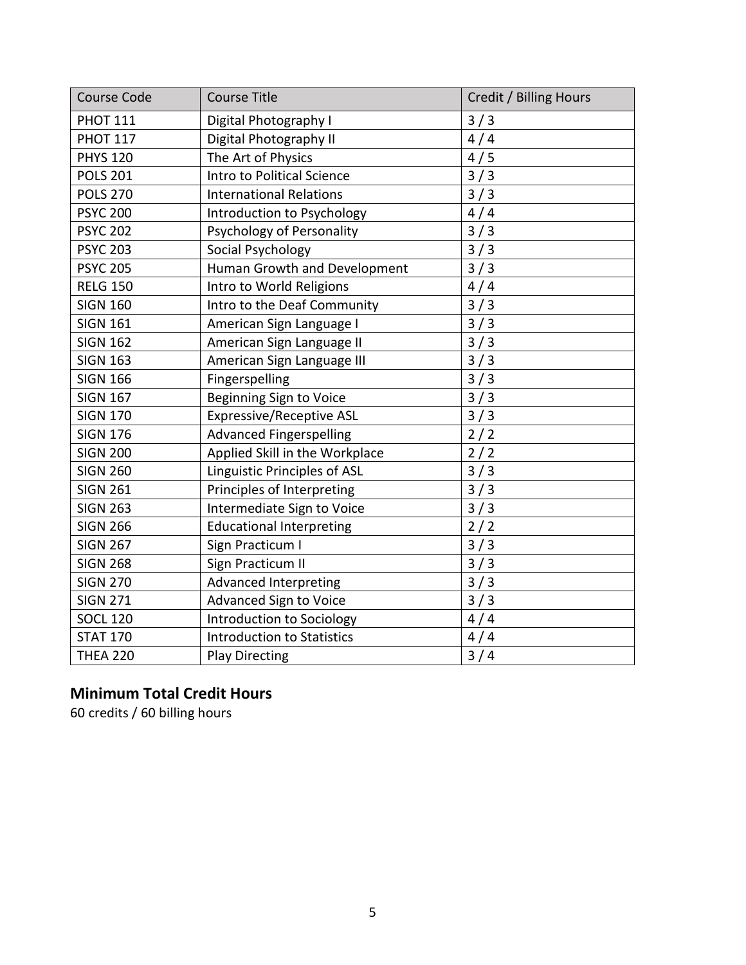| <b>Course Code</b> | <b>Course Title</b>               | Credit / Billing Hours |
|--------------------|-----------------------------------|------------------------|
| <b>PHOT 111</b>    | Digital Photography I             | 3/3                    |
| <b>PHOT 117</b>    | Digital Photography II            | 4/4                    |
| <b>PHYS 120</b>    | The Art of Physics                | 4/5                    |
| <b>POLS 201</b>    | Intro to Political Science        | 3/3                    |
| <b>POLS 270</b>    | <b>International Relations</b>    | 3/3                    |
| <b>PSYC 200</b>    | Introduction to Psychology        | 4/4                    |
| <b>PSYC 202</b>    | Psychology of Personality         | 3/3                    |
| <b>PSYC 203</b>    | Social Psychology                 | 3/3                    |
| <b>PSYC 205</b>    | Human Growth and Development      | 3/3                    |
| <b>RELG 150</b>    | Intro to World Religions          | 4/4                    |
| <b>SIGN 160</b>    | Intro to the Deaf Community       | 3/3                    |
| <b>SIGN 161</b>    | American Sign Language I          | 3/3                    |
| <b>SIGN 162</b>    | American Sign Language II         | 3/3                    |
| <b>SIGN 163</b>    | American Sign Language III        | 3/3                    |
| <b>SIGN 166</b>    | Fingerspelling                    | 3/3                    |
| <b>SIGN 167</b>    | Beginning Sign to Voice           | 3/3                    |
| <b>SIGN 170</b>    | <b>Expressive/Receptive ASL</b>   | 3/3                    |
| <b>SIGN 176</b>    | <b>Advanced Fingerspelling</b>    | 2/2                    |
| <b>SIGN 200</b>    | Applied Skill in the Workplace    | 2/2                    |
| <b>SIGN 260</b>    | Linguistic Principles of ASL      | 3/3                    |
| <b>SIGN 261</b>    | Principles of Interpreting        | 3/3                    |
| <b>SIGN 263</b>    | Intermediate Sign to Voice        | 3/3                    |
| <b>SIGN 266</b>    | <b>Educational Interpreting</b>   | 2/2                    |
| <b>SIGN 267</b>    | Sign Practicum I                  | 3/3                    |
| <b>SIGN 268</b>    | Sign Practicum II                 | 3/3                    |
| <b>SIGN 270</b>    | <b>Advanced Interpreting</b>      | 3/3                    |
| <b>SIGN 271</b>    | <b>Advanced Sign to Voice</b>     | 3/3                    |
| <b>SOCL 120</b>    | Introduction to Sociology         | 4/4                    |
| <b>STAT 170</b>    | <b>Introduction to Statistics</b> | 4/4                    |
| <b>THEA 220</b>    | <b>Play Directing</b>             | 3/4                    |

## **Minimum Total Credit Hours**

60 credits / 60 billing hours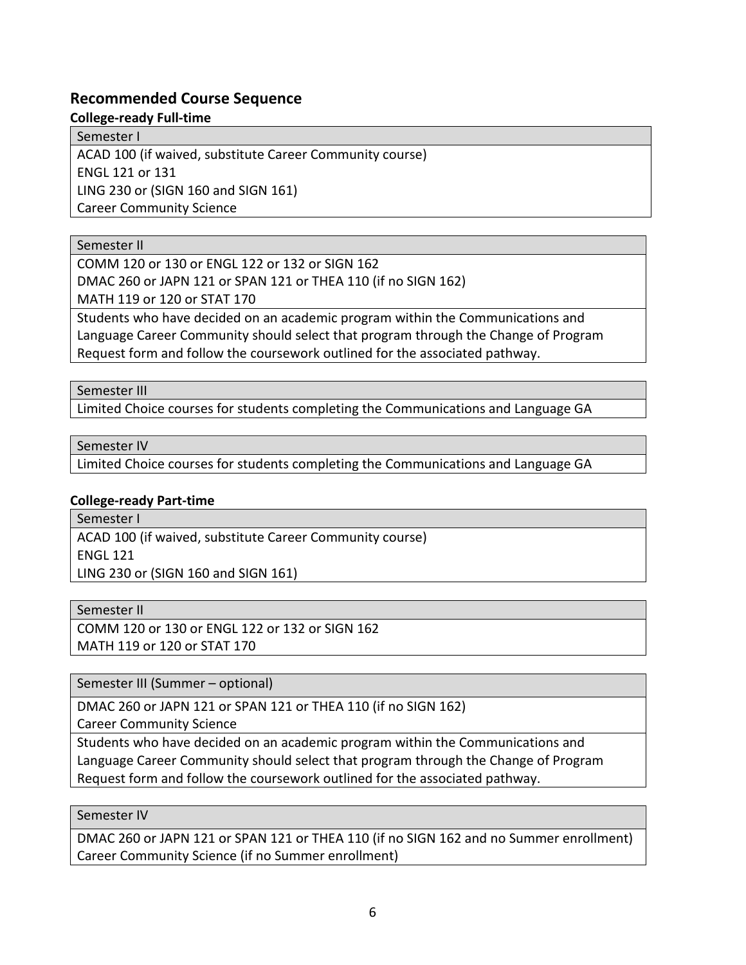## **Recommended Course Sequence**

**College-ready Full-time**

Semester I

ACAD 100 (if waived, substitute Career Community course) ENGL 121 or 131

LING 230 or (SIGN 160 and SIGN 161)

Career Community Science

### Semester II

COMM 120 or 130 or ENGL 122 or 132 or SIGN 162 DMAC 260 or JAPN 121 or SPAN 121 or THEA 110 (if no SIGN 162)

MATH 119 or 120 or STAT 170

Students who have decided on an academic program within the Communications and Language Career Community should select that program through the Change of Program Request form and follow the coursework outlined for the associated pathway.

Semester III

Limited Choice courses for students completing the Communications and Language GA

Semester IV

Limited Choice courses for students completing the Communications and Language GA

## **College-ready Part-time**

Semester I ACAD 100 (if waived, substitute Career Community course) ENGL 121 LING 230 or (SIGN 160 and SIGN 161)

Semester II

COMM 120 or 130 or ENGL 122 or 132 or SIGN 162 MATH 119 or 120 or STAT 170

Semester III (Summer – optional)

DMAC 260 or JAPN 121 or SPAN 121 or THEA 110 (if no SIGN 162)

Career Community Science

Students who have decided on an academic program within the Communications and Language Career Community should select that program through the Change of Program Request form and follow the coursework outlined for the associated pathway.

## Semester IV

DMAC 260 or JAPN 121 or SPAN 121 or THEA 110 (if no SIGN 162 and no Summer enrollment) Career Community Science (if no Summer enrollment)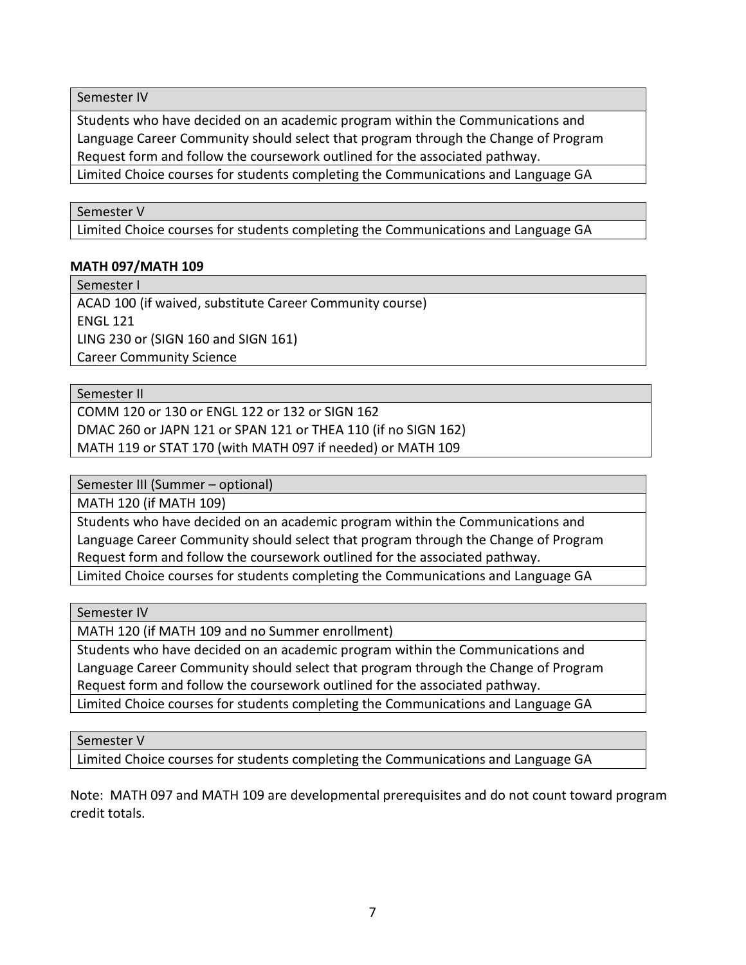Semester IV

Students who have decided on an academic program within the Communications and Language Career Community should select that program through the Change of Program Request form and follow the coursework outlined for the associated pathway.

Limited Choice courses for students completing the Communications and Language GA

#### Semester V

Limited Choice courses for students completing the Communications and Language GA

#### **MATH 097/MATH 109**

Semester I

ACAD 100 (if waived, substitute Career Community course) ENGL 121 LING 230 or (SIGN 160 and SIGN 161) Career Community Science

Semester II

COMM 120 or 130 or ENGL 122 or 132 or SIGN 162 DMAC 260 or JAPN 121 or SPAN 121 or THEA 110 (if no SIGN 162) MATH 119 or STAT 170 (with MATH 097 if needed) or MATH 109

Semester III (Summer – optional)

MATH 120 (if MATH 109)

Students who have decided on an academic program within the Communications and Language Career Community should select that program through the Change of Program Request form and follow the coursework outlined for the associated pathway.

Limited Choice courses for students completing the Communications and Language GA

Semester IV

MATH 120 (if MATH 109 and no Summer enrollment)

Students who have decided on an academic program within the Communications and Language Career Community should select that program through the Change of Program Request form and follow the coursework outlined for the associated pathway.

Limited Choice courses for students completing the Communications and Language GA

Semester V

Limited Choice courses for students completing the Communications and Language GA

Note: MATH 097 and MATH 109 are developmental prerequisites and do not count toward program credit totals.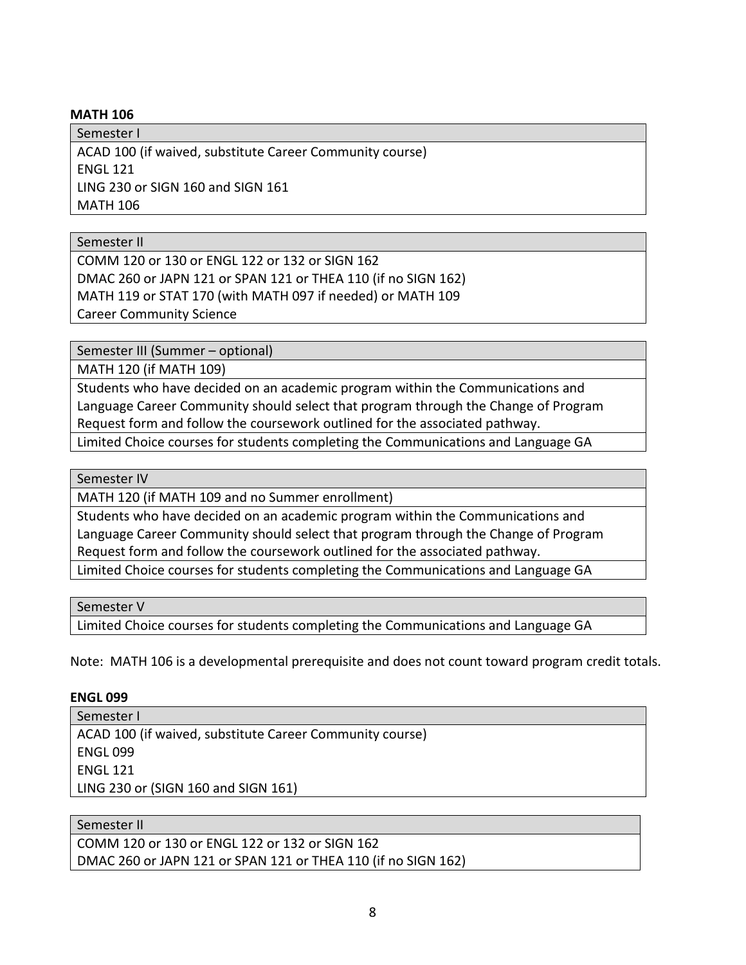#### **MATH 106**

Semester I ACAD 100 (if waived, substitute Career Community course) ENGL 121 LING 230 or SIGN 160 and SIGN 161 MATH 106

Semester II

COMM 120 or 130 or ENGL 122 or 132 or SIGN 162 DMAC 260 or JAPN 121 or SPAN 121 or THEA 110 (if no SIGN 162) MATH 119 or STAT 170 (with MATH 097 if needed) or MATH 109 Career Community Science

Semester III (Summer – optional)

MATH 120 (if MATH 109)

Students who have decided on an academic program within the Communications and Language Career Community should select that program through the Change of Program Request form and follow the coursework outlined for the associated pathway.

Limited Choice courses for students completing the Communications and Language GA

#### Semester IV

MATH 120 (if MATH 109 and no Summer enrollment)

Students who have decided on an academic program within the Communications and Language Career Community should select that program through the Change of Program Request form and follow the coursework outlined for the associated pathway.

Limited Choice courses for students completing the Communications and Language GA

Semester V

Limited Choice courses for students completing the Communications and Language GA

Note: MATH 106 is a developmental prerequisite and does not count toward program credit totals.

#### **ENGL 099**

Semester I ACAD 100 (if waived, substitute Career Community course) ENGL 099 ENGL 121 LING 230 or (SIGN 160 and SIGN 161)

### Semester II

COMM 120 or 130 or ENGL 122 or 132 or SIGN 162 DMAC 260 or JAPN 121 or SPAN 121 or THEA 110 (if no SIGN 162)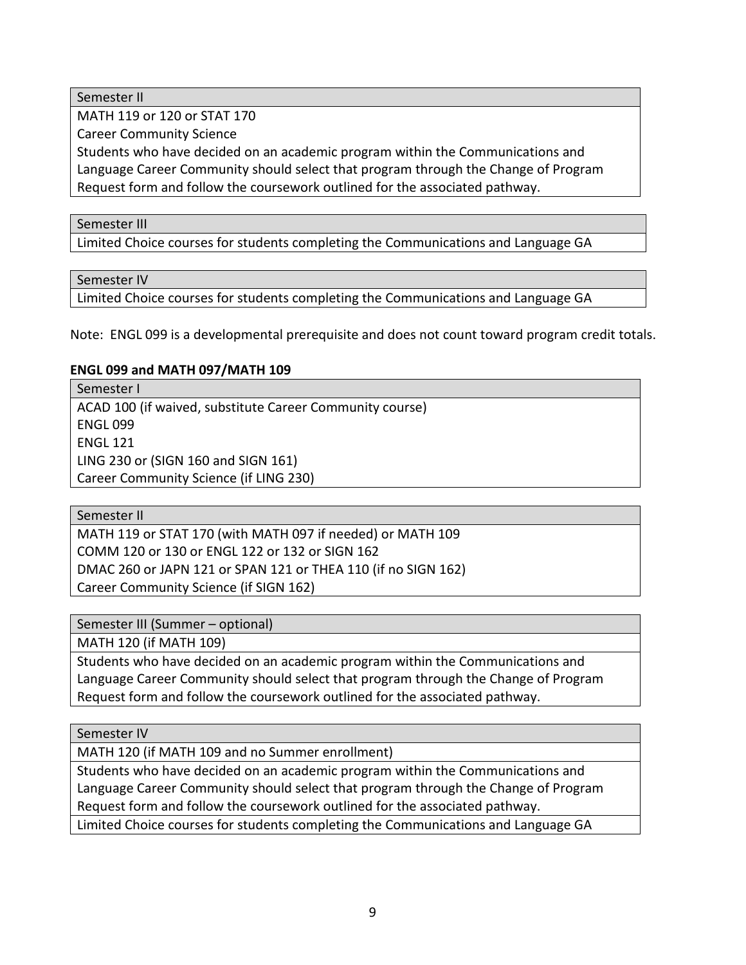Semester II

MATH 119 or 120 or STAT 170

Career Community Science

Students who have decided on an academic program within the Communications and Language Career Community should select that program through the Change of Program Request form and follow the coursework outlined for the associated pathway.

### Semester III

Limited Choice courses for students completing the Communications and Language GA

Semester IV

Limited Choice courses for students completing the Communications and Language GA

Note: ENGL 099 is a developmental prerequisite and does not count toward program credit totals.

### **ENGL 099 and MATH 097/MATH 109**

Semester I ACAD 100 (if waived, substitute Career Community course) ENGL 099 ENGL 121 LING 230 or (SIGN 160 and SIGN 161) Career Community Science (if LING 230)

Semester II

MATH 119 or STAT 170 (with MATH 097 if needed) or MATH 109 COMM 120 or 130 or ENGL 122 or 132 or SIGN 162 DMAC 260 or JAPN 121 or SPAN 121 or THEA 110 (if no SIGN 162) Career Community Science (if SIGN 162)

Semester III (Summer – optional)

MATH 120 (if MATH 109)

Students who have decided on an academic program within the Communications and Language Career Community should select that program through the Change of Program Request form and follow the coursework outlined for the associated pathway.

Semester IV

MATH 120 (if MATH 109 and no Summer enrollment)

Students who have decided on an academic program within the Communications and Language Career Community should select that program through the Change of Program Request form and follow the coursework outlined for the associated pathway.

Limited Choice courses for students completing the Communications and Language GA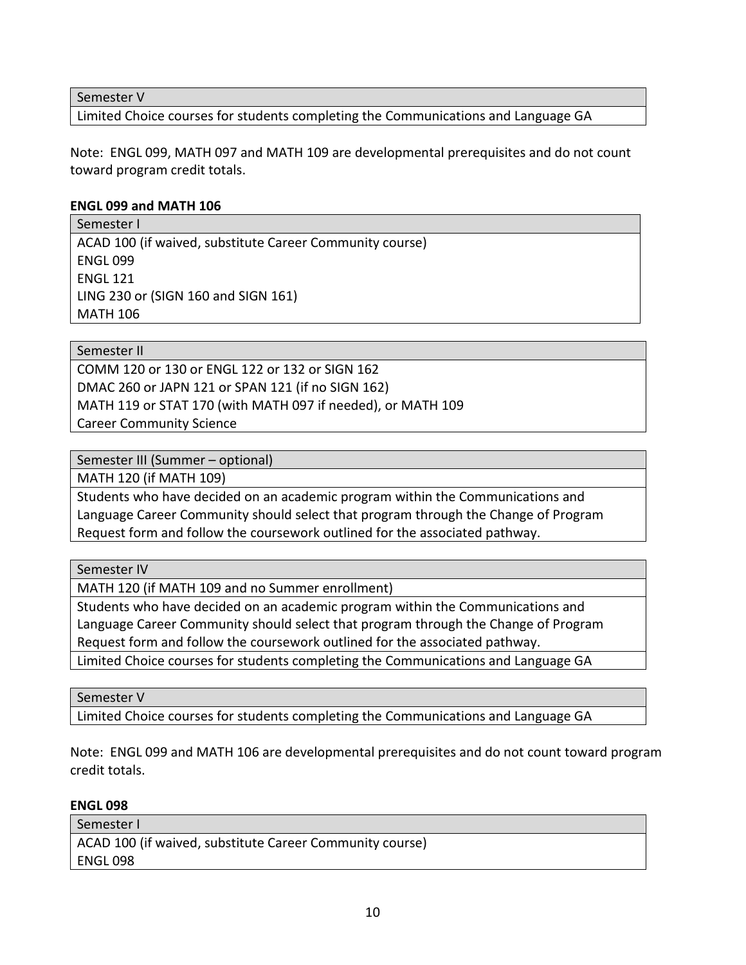Semester V

Limited Choice courses for students completing the Communications and Language GA

Note: ENGL 099, MATH 097 and MATH 109 are developmental prerequisites and do not count toward program credit totals.

#### **ENGL 099 and MATH 106**

Semester I ACAD 100 (if waived, substitute Career Community course) ENGL 099 ENGL 121 LING 230 or (SIGN 160 and SIGN 161) MATH 106

Semester II

COMM 120 or 130 or ENGL 122 or 132 or SIGN 162 DMAC 260 or JAPN 121 or SPAN 121 (if no SIGN 162) MATH 119 or STAT 170 (with MATH 097 if needed), or MATH 109 Career Community Science

Semester III (Summer – optional)

MATH 120 (if MATH 109)

Students who have decided on an academic program within the Communications and Language Career Community should select that program through the Change of Program Request form and follow the coursework outlined for the associated pathway.

Semester IV

MATH 120 (if MATH 109 and no Summer enrollment)

Students who have decided on an academic program within the Communications and Language Career Community should select that program through the Change of Program Request form and follow the coursework outlined for the associated pathway.

Limited Choice courses for students completing the Communications and Language GA

Semester V

Limited Choice courses for students completing the Communications and Language GA

Note: ENGL 099 and MATH 106 are developmental prerequisites and do not count toward program credit totals.

**ENGL 098**

| Semester I                                               |
|----------------------------------------------------------|
| ACAD 100 (if waived, substitute Career Community course) |
| ENGL 098                                                 |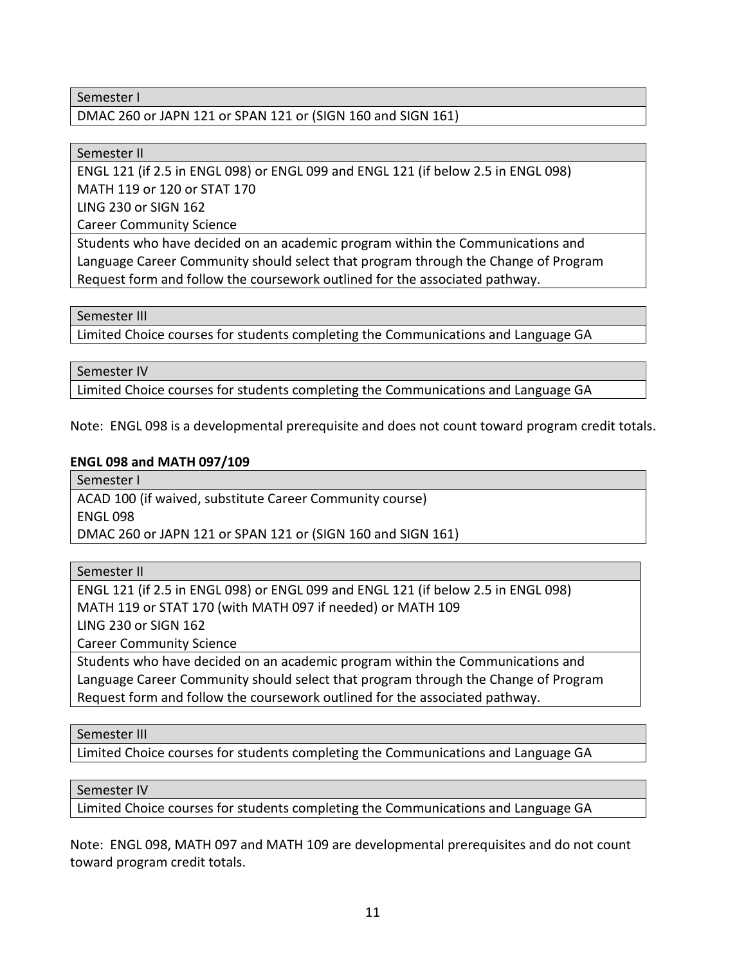#### Semester I

DMAC 260 or JAPN 121 or SPAN 121 or (SIGN 160 and SIGN 161)

#### Semester II

ENGL 121 (if 2.5 in ENGL 098) or ENGL 099 and ENGL 121 (if below 2.5 in ENGL 098) MATH 119 or 120 or STAT 170

LING 230 or SIGN 162

Career Community Science

Students who have decided on an academic program within the Communications and Language Career Community should select that program through the Change of Program Request form and follow the coursework outlined for the associated pathway.

#### Semester III

Limited Choice courses for students completing the Communications and Language GA

#### Semester IV

Limited Choice courses for students completing the Communications and Language GA

Note: ENGL 098 is a developmental prerequisite and does not count toward program credit totals.

#### **ENGL 098 and MATH 097/109**

Semester I

ACAD 100 (if waived, substitute Career Community course) ENGL 098 DMAC 260 or JAPN 121 or SPAN 121 or (SIGN 160 and SIGN 161)

Semester II

ENGL 121 (if 2.5 in ENGL 098) or ENGL 099 and ENGL 121 (if below 2.5 in ENGL 098) MATH 119 or STAT 170 (with MATH 097 if needed) or MATH 109 LING 230 or SIGN 162

Career Community Science

Students who have decided on an academic program within the Communications and Language Career Community should select that program through the Change of Program Request form and follow the coursework outlined for the associated pathway.

#### Semester III

Limited Choice courses for students completing the Communications and Language GA

#### Semester IV

Limited Choice courses for students completing the Communications and Language GA

Note: ENGL 098, MATH 097 and MATH 109 are developmental prerequisites and do not count toward program credit totals.